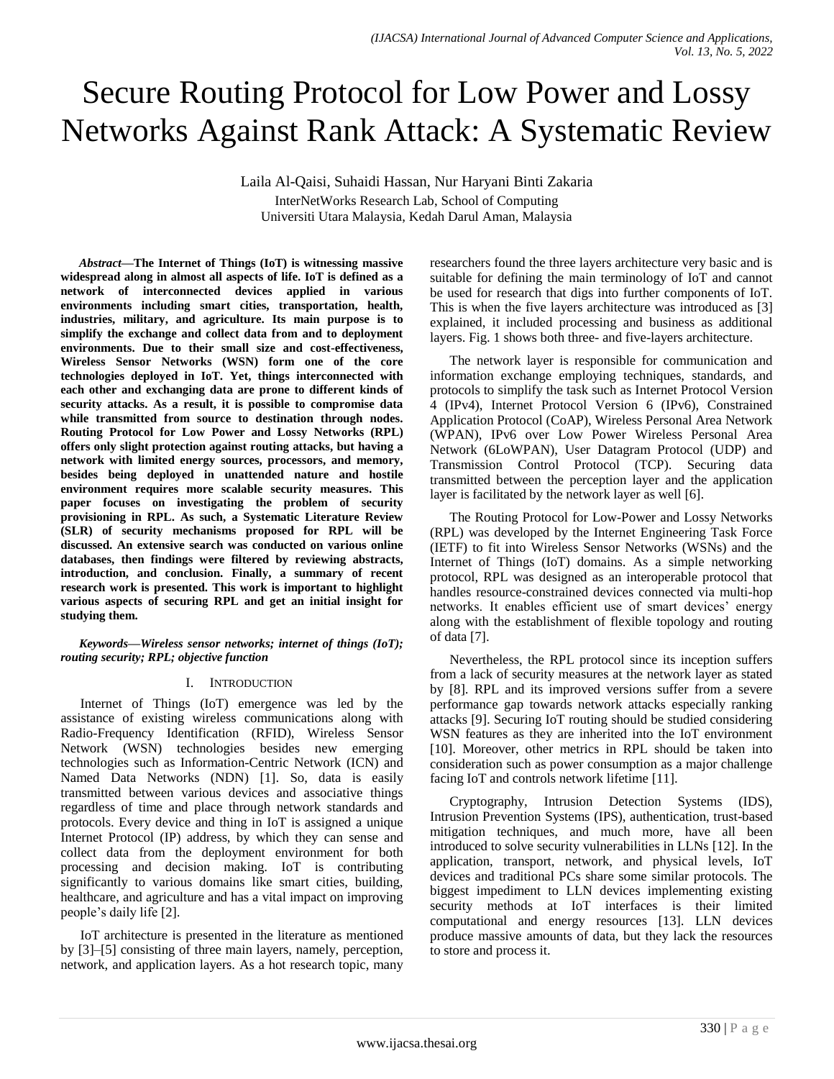# Secure Routing Protocol for Low Power and Lossy Networks Against Rank Attack: A Systematic Review

Laila Al-Qaisi, Suhaidi Hassan, Nur Haryani Binti Zakaria InterNetWorks Research Lab, School of Computing Universiti Utara Malaysia, Kedah Darul Aman, Malaysia

*Abstract***—The Internet of Things (IoT) is witnessing massive widespread along in almost all aspects of life. IoT is defined as a network of interconnected devices applied in various environments including smart cities, transportation, health, industries, military, and agriculture. Its main purpose is to simplify the exchange and collect data from and to deployment environments. Due to their small size and cost-effectiveness, Wireless Sensor Networks (WSN) form one of the core technologies deployed in IoT. Yet, things interconnected with each other and exchanging data are prone to different kinds of security attacks. As a result, it is possible to compromise data while transmitted from source to destination through nodes. Routing Protocol for Low Power and Lossy Networks (RPL) offers only slight protection against routing attacks, but having a network with limited energy sources, processors, and memory, besides being deployed in unattended nature and hostile environment requires more scalable security measures. This paper focuses on investigating the problem of security provisioning in RPL. As such, a Systematic Literature Review (SLR) of security mechanisms proposed for RPL will be discussed. An extensive search was conducted on various online databases, then findings were filtered by reviewing abstracts, introduction, and conclusion. Finally, a summary of recent research work is presented. This work is important to highlight various aspects of securing RPL and get an initial insight for studying them.**

*Keywords—Wireless sensor networks; internet of things (IoT); routing security; RPL; objective function*

## I. INTRODUCTION

Internet of Things (IoT) emergence was led by the assistance of existing wireless communications along with Radio-Frequency Identification (RFID), Wireless Sensor Network (WSN) technologies besides new emerging technologies such as Information-Centric Network (ICN) and Named Data Networks (NDN) [1]. So, data is easily transmitted between various devices and associative things regardless of time and place through network standards and protocols. Every device and thing in IoT is assigned a unique Internet Protocol (IP) address, by which they can sense and collect data from the deployment environment for both processing and decision making. IoT is contributing significantly to various domains like smart cities, building, healthcare, and agriculture and has a vital impact on improving people's daily life [2].

IoT architecture is presented in the literature as mentioned by [3]–[5] consisting of three main layers, namely, perception, network, and application layers. As a hot research topic, many researchers found the three layers architecture very basic and is suitable for defining the main terminology of IoT and cannot be used for research that digs into further components of IoT. This is when the five layers architecture was introduced as [3] explained, it included processing and business as additional layers. Fig. 1 shows both three- and five-layers architecture.

The network layer is responsible for communication and information exchange employing techniques, standards, and protocols to simplify the task such as Internet Protocol Version 4 (IPv4), Internet Protocol Version 6 (IPv6), Constrained Application Protocol (CoAP), Wireless Personal Area Network (WPAN), IPv6 over Low Power Wireless Personal Area Network (6LoWPAN), User Datagram Protocol (UDP) and Transmission Control Protocol (TCP). Securing data transmitted between the perception layer and the application layer is facilitated by the network layer as well [6].

The Routing Protocol for Low-Power and Lossy Networks (RPL) was developed by the Internet Engineering Task Force (IETF) to fit into Wireless Sensor Networks (WSNs) and the Internet of Things (IoT) domains. As a simple networking protocol, RPL was designed as an interoperable protocol that handles resource-constrained devices connected via multi-hop networks. It enables efficient use of smart devices' energy along with the establishment of flexible topology and routing of data [7].

Nevertheless, the RPL protocol since its inception suffers from a lack of security measures at the network layer as stated by [8]. RPL and its improved versions suffer from a severe performance gap towards network attacks especially ranking attacks [9]. Securing IoT routing should be studied considering WSN features as they are inherited into the IoT environment [10]. Moreover, other metrics in RPL should be taken into consideration such as power consumption as a major challenge facing IoT and controls network lifetime [11].

Cryptography, Intrusion Detection Systems (IDS), Intrusion Prevention Systems (IPS), authentication, trust-based mitigation techniques, and much more, have all been introduced to solve security vulnerabilities in LLNs [12]. In the application, transport, network, and physical levels, IoT devices and traditional PCs share some similar protocols. The biggest impediment to LLN devices implementing existing security methods at IoT interfaces is their limited computational and energy resources [13]. LLN devices produce massive amounts of data, but they lack the resources to store and process it.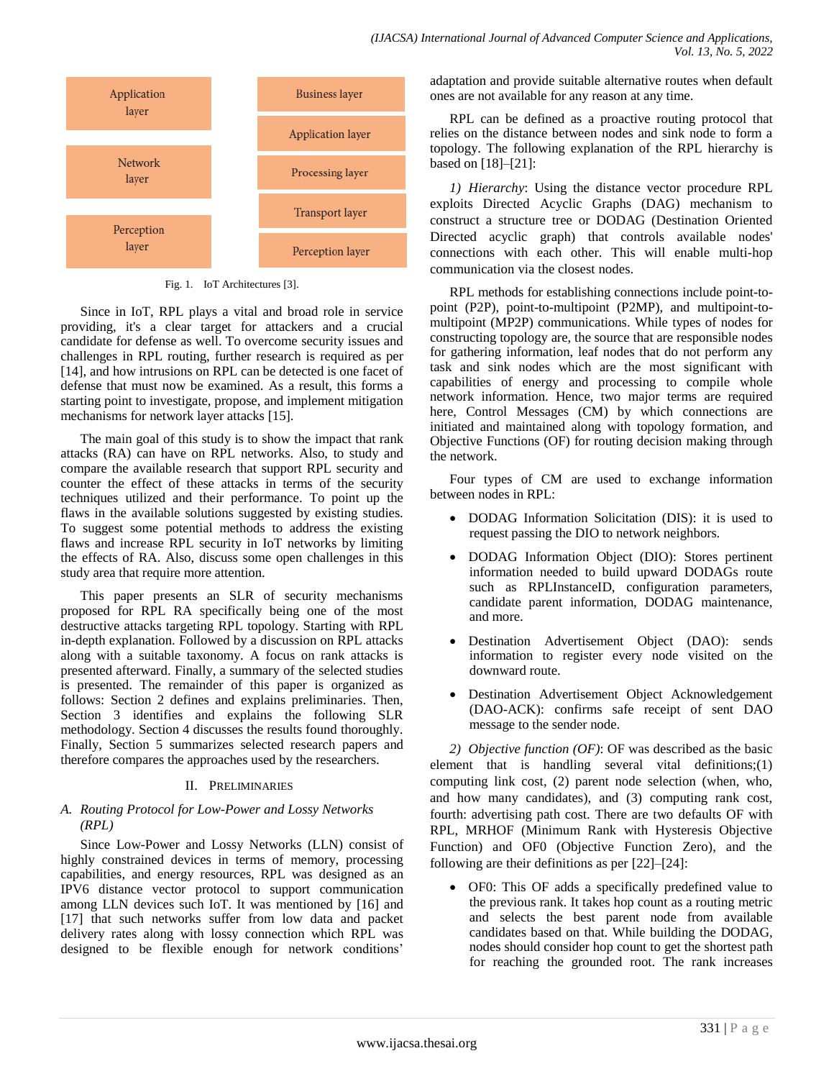

Fig. 1. IoT Architectures [3].

Since in IoT, RPL plays a vital and broad role in service providing, it's a clear target for attackers and a crucial candidate for defense as well. To overcome security issues and challenges in RPL routing, further research is required as per [14], and how intrusions on RPL can be detected is one facet of defense that must now be examined. As a result, this forms a starting point to investigate, propose, and implement mitigation mechanisms for network layer attacks [15].

The main goal of this study is to show the impact that rank attacks (RA) can have on RPL networks. Also, to study and compare the available research that support RPL security and counter the effect of these attacks in terms of the security techniques utilized and their performance. To point up the flaws in the available solutions suggested by existing studies. To suggest some potential methods to address the existing flaws and increase RPL security in IoT networks by limiting the effects of RA. Also, discuss some open challenges in this study area that require more attention.

This paper presents an SLR of security mechanisms proposed for RPL RA specifically being one of the most destructive attacks targeting RPL topology. Starting with RPL in-depth explanation. Followed by a discussion on RPL attacks along with a suitable taxonomy. A focus on rank attacks is presented afterward. Finally, a summary of the selected studies is presented. The remainder of this paper is organized as follows: Section 2 defines and explains preliminaries. Then, Section 3 identifies and explains the following SLR methodology. Section 4 discusses the results found thoroughly. Finally, Section 5 summarizes selected research papers and therefore compares the approaches used by the researchers.

# II. PRELIMINARIES

# *A. Routing Protocol for Low-Power and Lossy Networks (RPL)*

Since Low-Power and Lossy Networks (LLN) consist of highly constrained devices in terms of memory, processing capabilities, and energy resources, RPL was designed as an IPV6 distance vector protocol to support communication among LLN devices such IoT. It was mentioned by [16] and [17] that such networks suffer from low data and packet delivery rates along with lossy connection which RPL was designed to be flexible enough for network conditions'

adaptation and provide suitable alternative routes when default ones are not available for any reason at any time.

RPL can be defined as a proactive routing protocol that relies on the distance between nodes and sink node to form a topology. The following explanation of the RPL hierarchy is based on [18]–[21]:

*1) Hierarchy*: Using the distance vector procedure RPL exploits Directed Acyclic Graphs (DAG) mechanism to construct a structure tree or DODAG (Destination Oriented Directed acyclic graph) that controls available nodes' connections with each other. This will enable multi-hop communication via the closest nodes.

RPL methods for establishing connections include point-topoint (P2P), point-to-multipoint (P2MP), and multipoint-tomultipoint (MP2P) communications. While types of nodes for constructing topology are, the source that are responsible nodes for gathering information, leaf nodes that do not perform any task and sink nodes which are the most significant with capabilities of energy and processing to compile whole network information. Hence, two major terms are required here, Control Messages (CM) by which connections are initiated and maintained along with topology formation, and Objective Functions (OF) for routing decision making through the network.

Four types of CM are used to exchange information between nodes in RPL:

- DODAG Information Solicitation (DIS): it is used to request passing the DIO to network neighbors.
- DODAG Information Object (DIO): Stores pertinent information needed to build upward DODAGs route such as RPLInstanceID, configuration parameters, candidate parent information, DODAG maintenance, and more.
- Destination Advertisement Object (DAO): sends information to register every node visited on the downward route.
- Destination Advertisement Object Acknowledgement (DAO-ACK): confirms safe receipt of sent DAO message to the sender node.

*2) Objective function (OF)*: OF was described as the basic element that is handling several vital definitions;(1) computing link cost, (2) parent node selection (when, who, and how many candidates), and (3) computing rank cost, fourth: advertising path cost. There are two defaults OF with RPL, MRHOF (Minimum Rank with Hysteresis Objective Function) and OF0 (Objective Function Zero), and the following are their definitions as per [22]–[24]:

 OF0: This OF adds a specifically predefined value to the previous rank. It takes hop count as a routing metric and selects the best parent node from available candidates based on that. While building the DODAG, nodes should consider hop count to get the shortest path for reaching the grounded root. The rank increases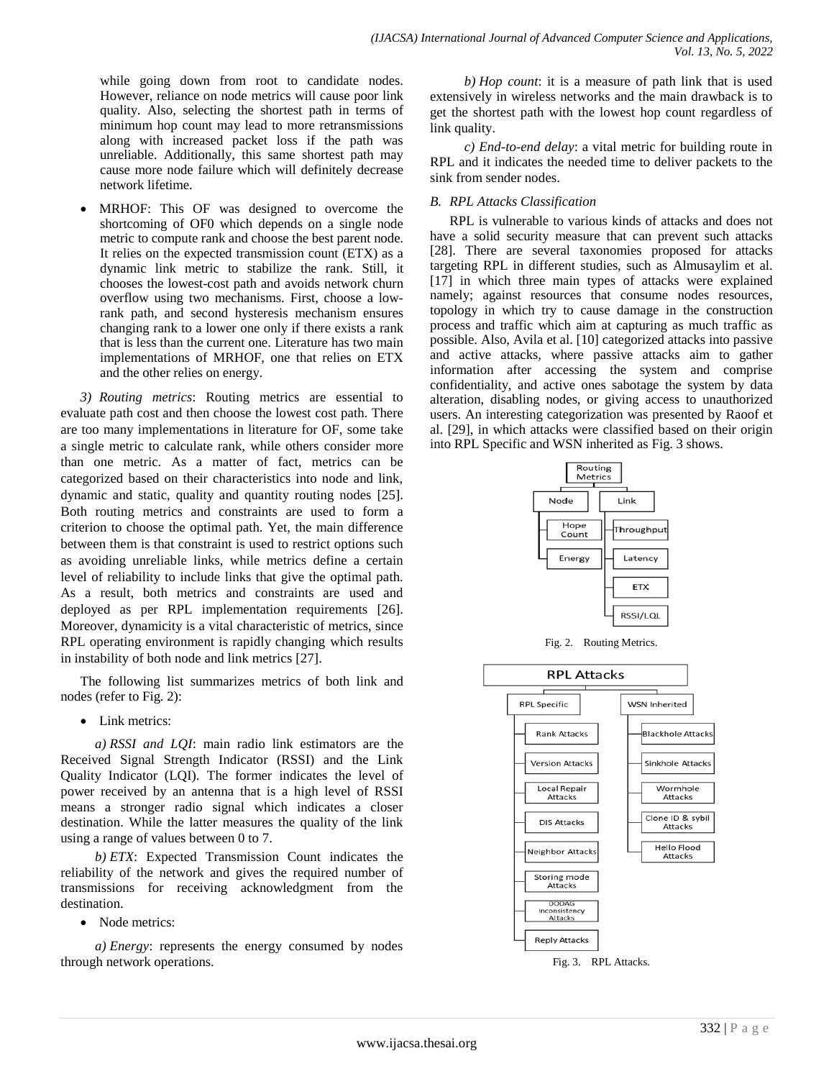while going down from root to candidate nodes. However, reliance on node metrics will cause poor link quality. Also, selecting the shortest path in terms of minimum hop count may lead to more retransmissions along with increased packet loss if the path was unreliable. Additionally, this same shortest path may cause more node failure which will definitely decrease network lifetime.

 MRHOF: This OF was designed to overcome the shortcoming of OF0 which depends on a single node metric to compute rank and choose the best parent node. It relies on the expected transmission count (ETX) as a dynamic link metric to stabilize the rank. Still, it chooses the lowest-cost path and avoids network churn overflow using two mechanisms. First, choose a lowrank path, and second hysteresis mechanism ensures changing rank to a lower one only if there exists a rank that is less than the current one. Literature has two main implementations of MRHOF, one that relies on ETX and the other relies on energy.

*3) Routing metrics*: Routing metrics are essential to evaluate path cost and then choose the lowest cost path. There are too many implementations in literature for OF, some take a single metric to calculate rank, while others consider more than one metric. As a matter of fact, metrics can be categorized based on their characteristics into node and link, dynamic and static, quality and quantity routing nodes [25]. Both routing metrics and constraints are used to form a criterion to choose the optimal path. Yet, the main difference between them is that constraint is used to restrict options such as avoiding unreliable links, while metrics define a certain level of reliability to include links that give the optimal path. As a result, both metrics and constraints are used and deployed as per RPL implementation requirements [26]. Moreover, dynamicity is a vital characteristic of metrics, since RPL operating environment is rapidly changing which results in instability of both node and link metrics [27].

The following list summarizes metrics of both link and nodes (refer to Fig. 2):

• Link metrics:

*a) RSSI and LQI*: main radio link estimators are the Received Signal Strength Indicator (RSSI) and the Link Quality Indicator (LQI). The former indicates the level of power received by an antenna that is a high level of RSSI means a stronger radio signal which indicates a closer destination. While the latter measures the quality of the link using a range of values between 0 to 7.

*b) ETX*: Expected Transmission Count indicates the reliability of the network and gives the required number of transmissions for receiving acknowledgment from the destination.

• Node metrics:

*a) Energy*: represents the energy consumed by nodes through network operations.

*b) Hop count*: it is a measure of path link that is used extensively in wireless networks and the main drawback is to get the shortest path with the lowest hop count regardless of link quality.

*c) End-to-end delay*: a vital metric for building route in RPL and it indicates the needed time to deliver packets to the sink from sender nodes.

## *B. RPL Attacks Classification*

RPL is vulnerable to various kinds of attacks and does not have a solid security measure that can prevent such attacks [28]. There are several taxonomies proposed for attacks targeting RPL in different studies, such as Almusaylim et al. [17] in which three main types of attacks were explained namely; against resources that consume nodes resources, topology in which try to cause damage in the construction process and traffic which aim at capturing as much traffic as possible. Also, Avila et al. [10] categorized attacks into passive and active attacks, where passive attacks aim to gather information after accessing the system and comprise confidentiality, and active ones sabotage the system by data alteration, disabling nodes, or giving access to unauthorized users. An interesting categorization was presented by Raoof et al. [29], in which attacks were classified based on their origin into RPL Specific and WSN inherited as Fig. 3 shows.



Fig. 2. Routing Metrics.

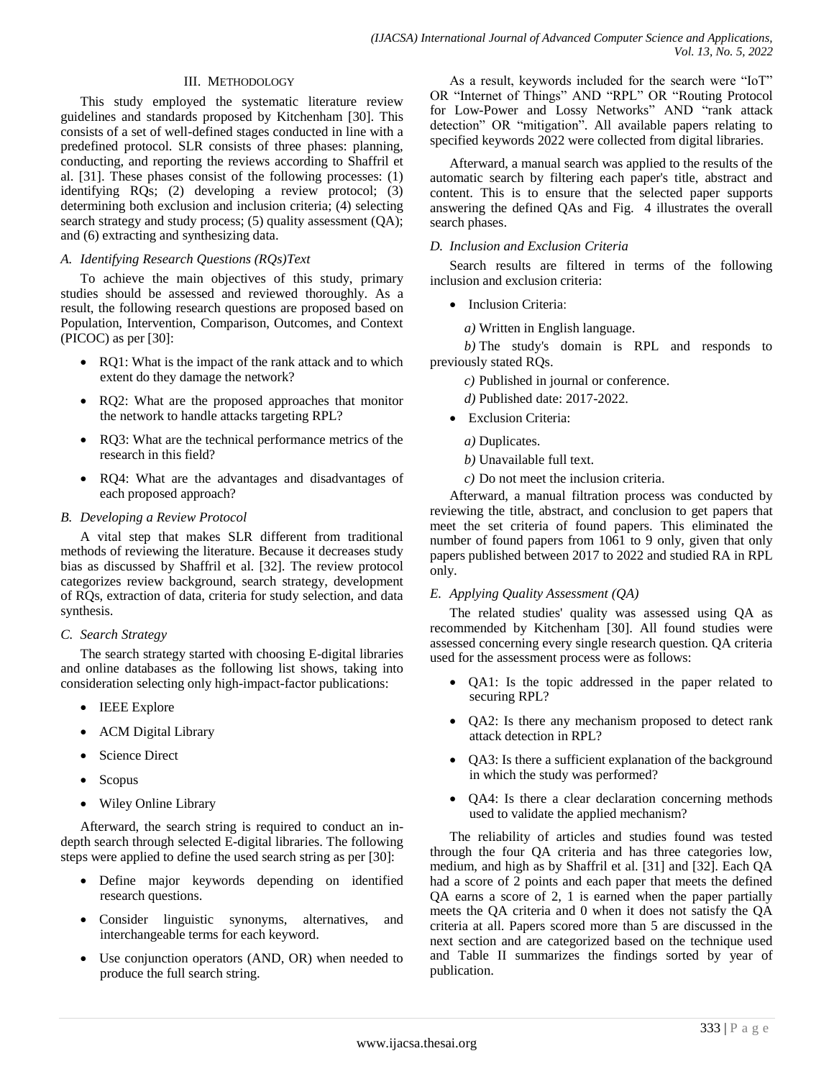## III. METHODOLOGY

This study employed the systematic literature review guidelines and standards proposed by Kitchenham [30]. This consists of a set of well-defined stages conducted in line with a predefined protocol. SLR consists of three phases: planning, conducting, and reporting the reviews according to Shaffril et al. [31]. These phases consist of the following processes: (1) identifying RQs; (2) developing a review protocol; (3) determining both exclusion and inclusion criteria; (4) selecting search strategy and study process; (5) quality assessment (QA); and (6) extracting and synthesizing data.

## *A. Identifying Research Questions (RQs)Text*

To achieve the main objectives of this study, primary studies should be assessed and reviewed thoroughly. As a result, the following research questions are proposed based on Population, Intervention, Comparison, Outcomes, and Context (PICOC) as per [30]:

- RQ1: What is the impact of the rank attack and to which extent do they damage the network?
- RQ2: What are the proposed approaches that monitor the network to handle attacks targeting RPL?
- RQ3: What are the technical performance metrics of the research in this field?
- RQ4: What are the advantages and disadvantages of each proposed approach?

## *B. Developing a Review Protocol*

A vital step that makes SLR different from traditional methods of reviewing the literature. Because it decreases study bias as discussed by Shaffril et al. [32]. The review protocol categorizes review background, search strategy, development of RQs, extraction of data, criteria for study selection, and data synthesis.

## *C. Search Strategy*

The search strategy started with choosing E-digital libraries and online databases as the following list shows, taking into consideration selecting only high-impact-factor publications:

- IEEE Explore
- ACM Digital Library
- Science Direct
- Scopus
- Wiley Online Library

Afterward, the search string is required to conduct an indepth search through selected E-digital libraries. The following steps were applied to define the used search string as per [30]:

- Define major keywords depending on identified research questions.
- Consider linguistic synonyms, alternatives, and interchangeable terms for each keyword.
- Use conjunction operators (AND, OR) when needed to produce the full search string.

As a result, keywords included for the search were "IoT" OR "Internet of Things" AND "RPL" OR "Routing Protocol for Low-Power and Lossy Networks" AND "rank attack detection" OR "mitigation". All available papers relating to specified keywords 2022 were collected from digital libraries.

Afterward, a manual search was applied to the results of the automatic search by filtering each paper's title, abstract and content. This is to ensure that the selected paper supports answering the defined QAs and Fig. 4 illustrates the overall search phases.

## *D. Inclusion and Exclusion Criteria*

Search results are filtered in terms of the following inclusion and exclusion criteria:

• Inclusion Criteria:

*a)* Written in English language.

*b)* The study's domain is RPL and responds to previously stated RQs.

- *c)* Published in journal or conference.
- *d)* Published date: 2017-2022.
- Exclusion Criteria:
	- *a)* Duplicates.
	- *b)* Unavailable full text.
	- *c)* Do not meet the inclusion criteria.

Afterward, a manual filtration process was conducted by reviewing the title, abstract, and conclusion to get papers that meet the set criteria of found papers. This eliminated the number of found papers from 1061 to 9 only, given that only papers published between 2017 to 2022 and studied RA in RPL only.

## *E. Applying Quality Assessment (QA)*

The related studies' quality was assessed using QA as recommended by Kitchenham [30]. All found studies were assessed concerning every single research question. QA criteria used for the assessment process were as follows:

- QA1: Is the topic addressed in the paper related to securing RPL?
- QA2: Is there any mechanism proposed to detect rank attack detection in RPL?
- QA3: Is there a sufficient explanation of the background in which the study was performed?
- QA4: Is there a clear declaration concerning methods used to validate the applied mechanism?

The reliability of articles and studies found was tested through the four QA criteria and has three categories low, medium, and high as by Shaffril et al. [31] and [32]. Each QA had a score of 2 points and each paper that meets the defined QA earns a score of 2, 1 is earned when the paper partially meets the QA criteria and 0 when it does not satisfy the QA criteria at all. Papers scored more than 5 are discussed in the next section and are categorized based on the technique used and Table II summarizes the findings sorted by year of publication.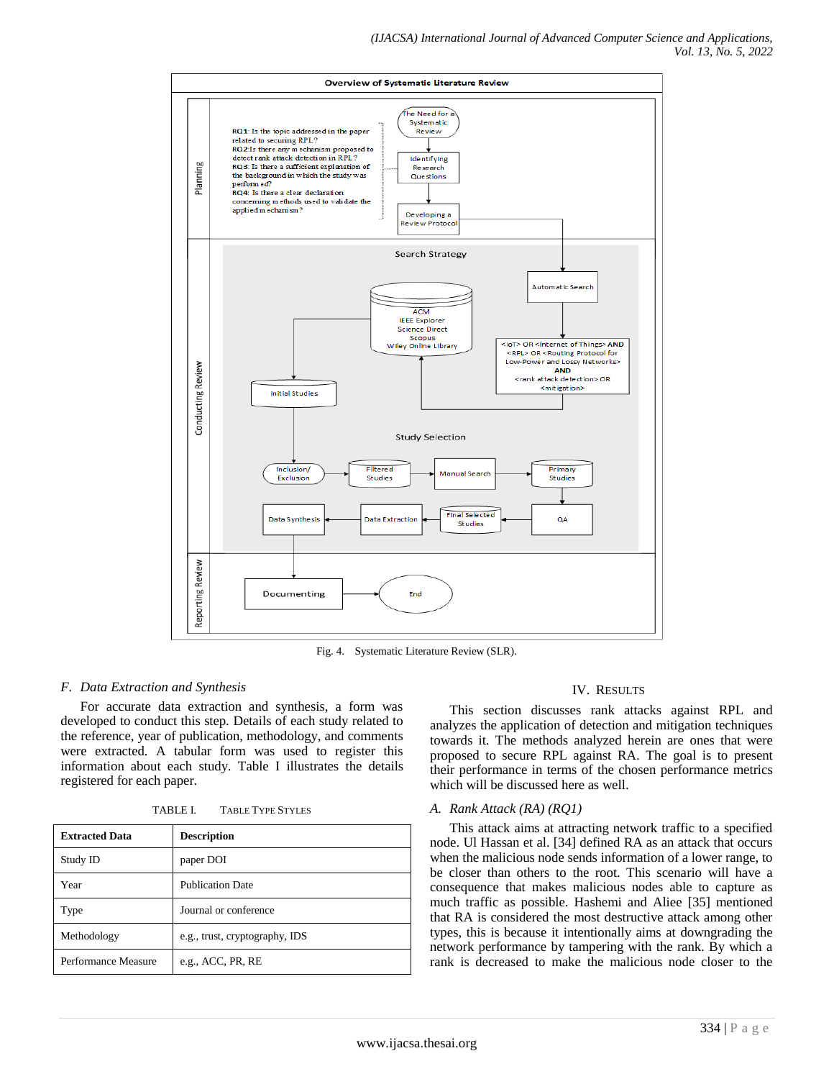

Fig. 4. Systematic Literature Review (SLR).

## *F. Data Extraction and Synthesis*

For accurate data extraction and synthesis, a form was developed to conduct this step. Details of each study related to the reference, year of publication, methodology, and comments were extracted. A tabular form was used to register this information about each study. Table I illustrates the details registered for each paper.

| TABLE L | <b>TABLE TYPE STYLES</b> |
|---------|--------------------------|
|         |                          |

| <b>Extracted Data</b> | <b>Description</b>             |
|-----------------------|--------------------------------|
| Study ID              | paper DOI                      |
| Year                  | <b>Publication Date</b>        |
| Type                  | Journal or conference          |
| Methodology           | e.g., trust, cryptography, IDS |
| Performance Measure   | e.g., $ACC$ , $PR$ , $RE$      |

## IV. RESULTS

This section discusses rank attacks against RPL and analyzes the application of detection and mitigation techniques towards it. The methods analyzed herein are ones that were proposed to secure RPL against RA. The goal is to present their performance in terms of the chosen performance metrics which will be discussed here as well.

## *A. Rank Attack (RA) (RQ1)*

This attack aims at attracting network traffic to a specified node. Ul Hassan et al. [34] defined RA as an attack that occurs when the malicious node sends information of a lower range, to be closer than others to the root. This scenario will have a consequence that makes malicious nodes able to capture as much traffic as possible. Hashemi and Aliee [35] mentioned that RA is considered the most destructive attack among other types, this is because it intentionally aims at downgrading the network performance by tampering with the rank. By which a rank is decreased to make the malicious node closer to the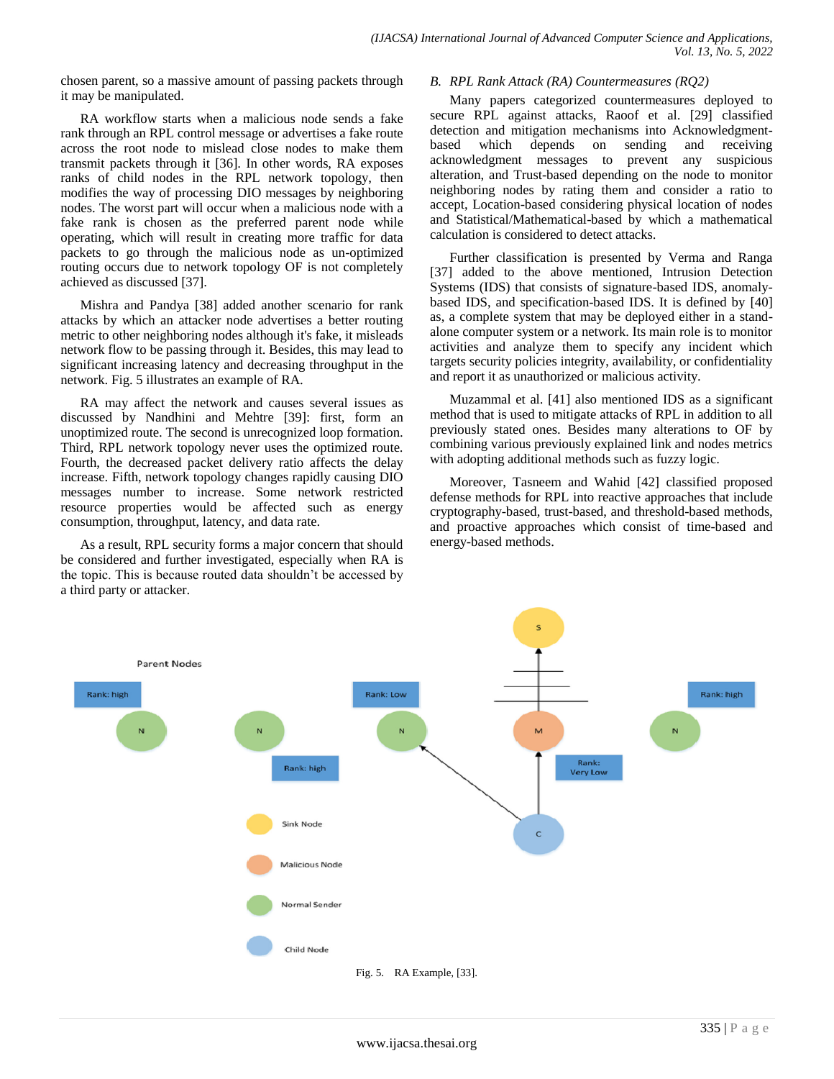chosen parent, so a massive amount of passing packets through it may be manipulated.

RA workflow starts when a malicious node sends a fake rank through an RPL control message or advertises a fake route across the root node to mislead close nodes to make them transmit packets through it [36]. In other words, RA exposes ranks of child nodes in the RPL network topology, then modifies the way of processing DIO messages by neighboring nodes. The worst part will occur when a malicious node with a fake rank is chosen as the preferred parent node while operating, which will result in creating more traffic for data packets to go through the malicious node as un-optimized routing occurs due to network topology OF is not completely achieved as discussed [37].

Mishra and Pandya [38] added another scenario for rank attacks by which an attacker node advertises a better routing metric to other neighboring nodes although it's fake, it misleads network flow to be passing through it. Besides, this may lead to significant increasing latency and decreasing throughput in the network. Fig. 5 illustrates an example of RA.

RA may affect the network and causes several issues as discussed by Nandhini and Mehtre [39]: first, form an unoptimized route. The second is unrecognized loop formation. Third, RPL network topology never uses the optimized route. Fourth, the decreased packet delivery ratio affects the delay increase. Fifth, network topology changes rapidly causing DIO messages number to increase. Some network restricted resource properties would be affected such as energy consumption, throughput, latency, and data rate.

As a result, RPL security forms a major concern that should be considered and further investigated, especially when RA is the topic. This is because routed data shouldn't be accessed by a third party or attacker.

## *B. RPL Rank Attack (RA) Countermeasures (RQ2)*

Many papers categorized countermeasures deployed to secure RPL against attacks, Raoof et al. [29] classified detection and mitigation mechanisms into Acknowledgment-<br>based which depends on sending and receiving based which depends on sending and receiving acknowledgment messages to prevent any suspicious alteration, and Trust-based depending on the node to monitor neighboring nodes by rating them and consider a ratio to accept, Location-based considering physical location of nodes and Statistical/Mathematical-based by which a mathematical calculation is considered to detect attacks.

Further classification is presented by Verma and Ranga [37] added to the above mentioned, Intrusion Detection Systems (IDS) that consists of signature-based IDS, anomalybased IDS, and specification-based IDS. It is defined by [40] as, a complete system that may be deployed either in a standalone computer system or a network. Its main role is to monitor activities and analyze them to specify any incident which targets security policies integrity, availability, or confidentiality and report it as unauthorized or malicious activity.

Muzammal et al. [41] also mentioned IDS as a significant method that is used to mitigate attacks of RPL in addition to all previously stated ones. Besides many alterations to OF by combining various previously explained link and nodes metrics with adopting additional methods such as fuzzy logic.

Moreover, Tasneem and Wahid [42] classified proposed defense methods for RPL into reactive approaches that include cryptography-based, trust-based, and threshold-based methods, and proactive approaches which consist of time-based and energy-based methods.

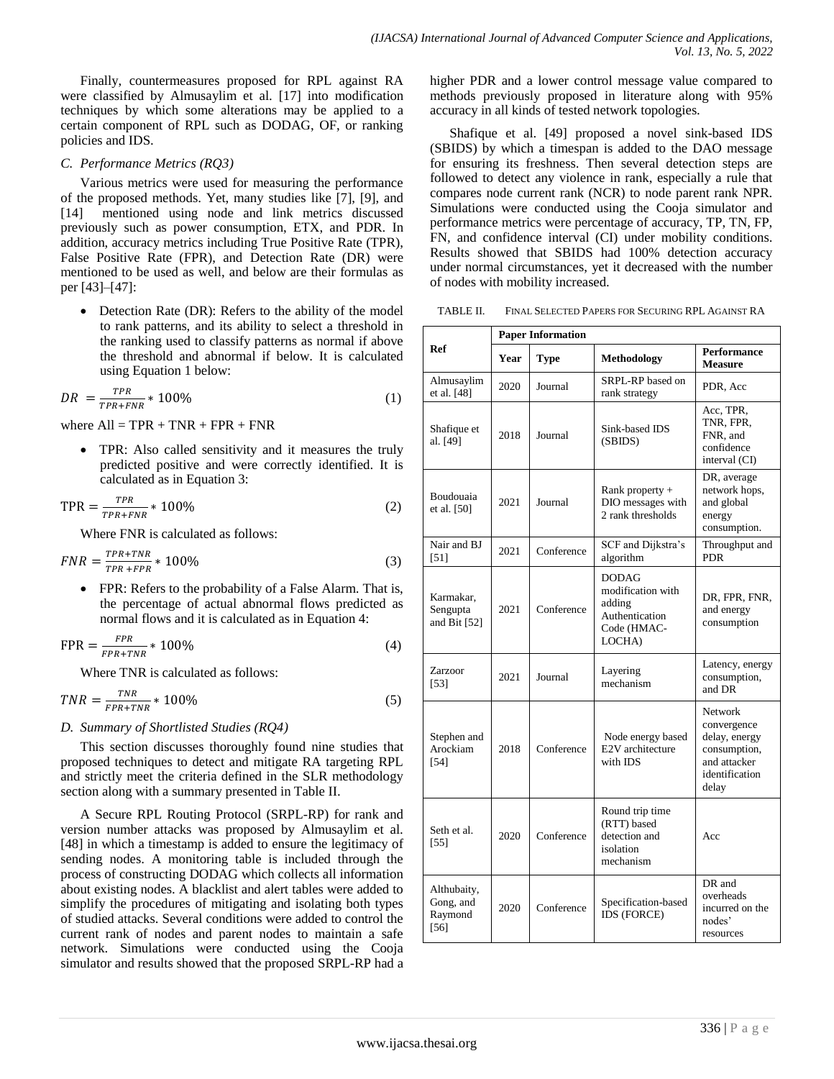Finally, countermeasures proposed for RPL against RA were classified by Almusaylim et al. [17] into modification techniques by which some alterations may be applied to a certain component of RPL such as DODAG, OF, or ranking policies and IDS.

## *C. Performance Metrics (RQ3)*

Various metrics were used for measuring the performance of the proposed methods. Yet, many studies like [7], [9], and [14] mentioned using node and link metrics discussed previously such as power consumption, ETX, and PDR. In addition, accuracy metrics including True Positive Rate (TPR), False Positive Rate (FPR), and Detection Rate (DR) were mentioned to be used as well, and below are their formulas as per [43]–[47]:

• Detection Rate (DR): Refers to the ability of the model to rank patterns, and its ability to select a threshold in the ranking used to classify patterns as normal if above the threshold and abnormal if below. It is calculated using Equation 1 below:

$$
DR = \frac{TPR}{TPR + FNR} * 100\%
$$
\n
$$
\tag{1}
$$

where  $All = TPR + TNR + FPR + FNR$ 

 TPR: Also called sensitivity and it measures the truly predicted positive and were correctly identified. It is calculated as in Equation 3:

$$
TPR = \frac{TPR}{TPR + FNR} * 100\%
$$
\n<sup>(2)</sup>

Where FNR is calculated as follows:

$$
FNR = \frac{TPR + TNR}{TPR + FPR} * 100\%
$$
\n<sup>(3)</sup>

• FPR: Refers to the probability of a False Alarm. That is, the percentage of actual abnormal flows predicted as normal flows and it is calculated as in Equation 4:

$$
FPR = \frac{FPR}{FPR + TNR} * 100\%
$$
\n<sup>(4)</sup>

Where TNR is calculated as follows:

$$
TNR = \frac{TNR}{FPR + TNR} * 100\% \tag{5}
$$

# *D. Summary of Shortlisted Studies (RQ4)*

This section discusses thoroughly found nine studies that proposed techniques to detect and mitigate RA targeting RPL and strictly meet the criteria defined in the SLR methodology section along with a summary presented in Table II.

A Secure RPL Routing Protocol (SRPL-RP) for rank and version number attacks was proposed by Almusaylim et al. [48] in which a timestamp is added to ensure the legitimacy of sending nodes. A monitoring table is included through the process of constructing DODAG which collects all information about existing nodes. A blacklist and alert tables were added to simplify the procedures of mitigating and isolating both types of studied attacks. Several conditions were added to control the current rank of nodes and parent nodes to maintain a safe network. Simulations were conducted using the Cooja simulator and results showed that the proposed SRPL-RP had a higher PDR and a lower control message value compared to methods previously proposed in literature along with 95% accuracy in all kinds of tested network topologies.

Shafique et al. [49] proposed a novel sink-based IDS (SBIDS) by which a timespan is added to the DAO message for ensuring its freshness. Then several detection steps are followed to detect any violence in rank, especially a rule that compares node current rank (NCR) to node parent rank NPR. Simulations were conducted using the Cooja simulator and performance metrics were percentage of accuracy, TP, TN, FP, FN, and confidence interval (CI) under mobility conditions. Results showed that SBIDS had 100% detection accuracy under normal circumstances, yet it decreased with the number of nodes with mobility increased.

TABLE II. FINAL SELECTED PAPERS FOR SECURING RPL AGAINST RA

|                                             | <b>Paper Information</b> |            |                                                                                        |                                                                                                    |  |
|---------------------------------------------|--------------------------|------------|----------------------------------------------------------------------------------------|----------------------------------------------------------------------------------------------------|--|
| Ref                                         | Year                     | Type       | Methodology                                                                            | Performance<br><b>Measure</b>                                                                      |  |
| Almusaylim<br>et al. [48]                   | 2020                     | Journal    | SRPL-RP based on<br>rank strategy                                                      | PDR, Acc                                                                                           |  |
| Shafique et<br>al. [49]                     | 2018                     | Journal    | Sink-based IDS<br>(SBIDS)                                                              | Acc, TPR,<br>TNR, FPR,<br>FNR, and<br>confidence<br>interval (CI)                                  |  |
| <b>Boudouaia</b><br>et al. [50]             | 2021                     | Journal    | Rank property +<br>DIO messages with<br>2 rank thresholds                              | DR, average<br>network hops,<br>and global<br>energy<br>consumption.                               |  |
| Nair and BJ<br>$[51]$                       | 2021                     | Conference | SCF and Dijkstra's<br>algorithm                                                        | Throughput and<br><b>PDR</b>                                                                       |  |
| Karmakar.<br>Sengupta<br>and Bit $[52]$     | 2021                     | Conference | <b>DODAG</b><br>modification with<br>adding<br>Authentication<br>Code (HMAC-<br>LOCHA) | DR. FPR. FNR.<br>and energy<br>consumption                                                         |  |
| Zarzoor<br>[53]                             | 2021                     | Journal    | Layering<br>mechanism                                                                  | Latency, energy<br>consumption,<br>and DR                                                          |  |
| Stephen and<br>Arockiam<br>$[54]$           | 2018                     | Conference | Node energy based<br>E2V architecture<br>with IDS                                      | Network<br>convergence<br>delay, energy<br>consumption,<br>and attacker<br>identification<br>delay |  |
| Seth et al.<br>[55]                         | 2020                     | Conference | Round trip time<br>(RTT) based<br>detection and<br>isolation<br>mechanism              | Acc                                                                                                |  |
| Althubaity,<br>Gong, and<br>Raymond<br>[56] | 2020                     | Conference | Specification-based<br><b>IDS (FORCE)</b>                                              | DR and<br>overheads<br>incurred on the<br>nodes'<br>resources                                      |  |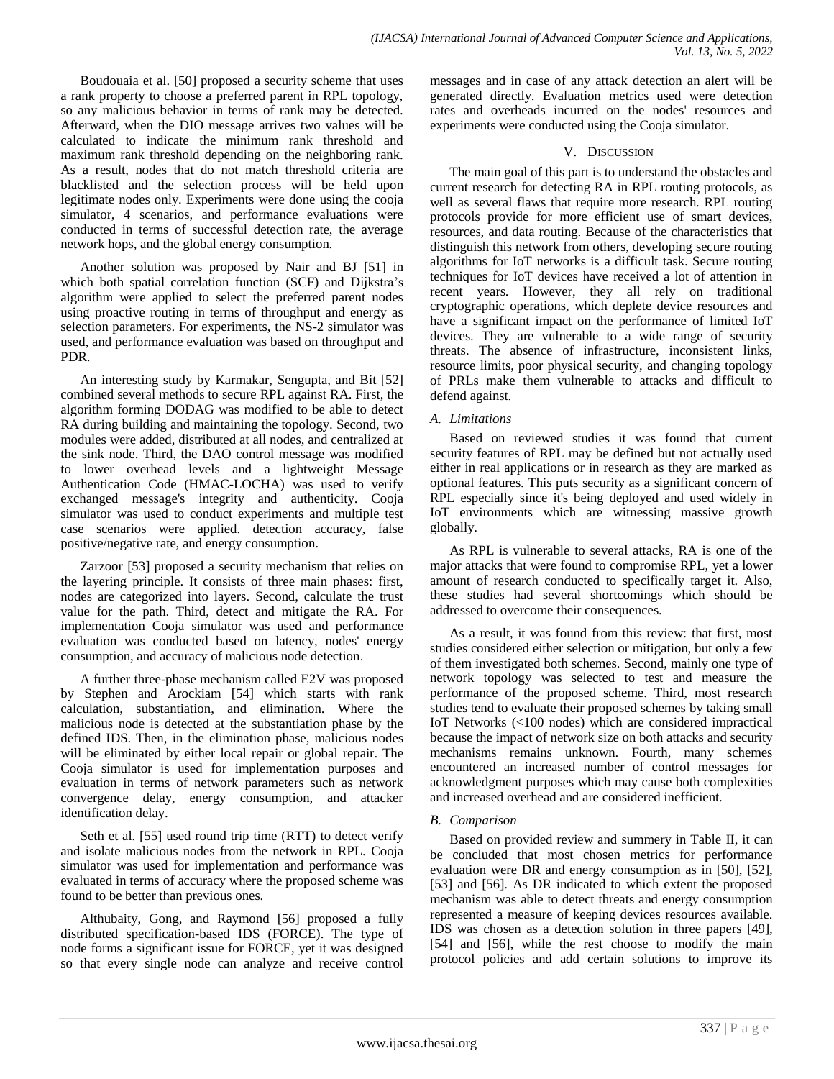Boudouaia et al. [50] proposed a security scheme that uses a rank property to choose a preferred parent in RPL topology, so any malicious behavior in terms of rank may be detected. Afterward, when the DIO message arrives two values will be calculated to indicate the minimum rank threshold and maximum rank threshold depending on the neighboring rank. As a result, nodes that do not match threshold criteria are blacklisted and the selection process will be held upon legitimate nodes only. Experiments were done using the cooja simulator, 4 scenarios, and performance evaluations were conducted in terms of successful detection rate, the average network hops, and the global energy consumption.

Another solution was proposed by Nair and BJ [51] in which both spatial correlation function (SCF) and Dijkstra's algorithm were applied to select the preferred parent nodes using proactive routing in terms of throughput and energy as selection parameters. For experiments, the NS-2 simulator was used, and performance evaluation was based on throughput and PDR.

An interesting study by Karmakar, Sengupta, and Bit [52] combined several methods to secure RPL against RA. First, the algorithm forming DODAG was modified to be able to detect RA during building and maintaining the topology. Second, two modules were added, distributed at all nodes, and centralized at the sink node. Third, the DAO control message was modified to lower overhead levels and a lightweight Message Authentication Code (HMAC-LOCHA) was used to verify exchanged message's integrity and authenticity. Cooja simulator was used to conduct experiments and multiple test case scenarios were applied. detection accuracy, false positive/negative rate, and energy consumption.

Zarzoor [53] proposed a security mechanism that relies on the layering principle. It consists of three main phases: first, nodes are categorized into layers. Second, calculate the trust value for the path. Third, detect and mitigate the RA. For implementation Cooja simulator was used and performance evaluation was conducted based on latency, nodes' energy consumption, and accuracy of malicious node detection.

A further three-phase mechanism called E2V was proposed by Stephen and Arockiam [54] which starts with rank calculation, substantiation, and elimination. Where the malicious node is detected at the substantiation phase by the defined IDS. Then, in the elimination phase, malicious nodes will be eliminated by either local repair or global repair. The Cooja simulator is used for implementation purposes and evaluation in terms of network parameters such as network convergence delay, energy consumption, and attacker identification delay.

Seth et al. [55] used round trip time (RTT) to detect verify and isolate malicious nodes from the network in RPL. Cooja simulator was used for implementation and performance was evaluated in terms of accuracy where the proposed scheme was found to be better than previous ones.

Althubaity, Gong, and Raymond [56] proposed a fully distributed specification-based IDS (FORCE). The type of node forms a significant issue for FORCE, yet it was designed so that every single node can analyze and receive control messages and in case of any attack detection an alert will be generated directly. Evaluation metrics used were detection rates and overheads incurred on the nodes' resources and experiments were conducted using the Cooja simulator.

## V. DISCUSSION

The main goal of this part is to understand the obstacles and current research for detecting RA in RPL routing protocols, as well as several flaws that require more research. RPL routing protocols provide for more efficient use of smart devices, resources, and data routing. Because of the characteristics that distinguish this network from others, developing secure routing algorithms for IoT networks is a difficult task. Secure routing techniques for IoT devices have received a lot of attention in recent years. However, they all rely on traditional cryptographic operations, which deplete device resources and have a significant impact on the performance of limited IoT devices. They are vulnerable to a wide range of security threats. The absence of infrastructure, inconsistent links, resource limits, poor physical security, and changing topology of PRLs make them vulnerable to attacks and difficult to defend against.

## *A. Limitations*

Based on reviewed studies it was found that current security features of RPL may be defined but not actually used either in real applications or in research as they are marked as optional features. This puts security as a significant concern of RPL especially since it's being deployed and used widely in IoT environments which are witnessing massive growth globally.

As RPL is vulnerable to several attacks, RA is one of the major attacks that were found to compromise RPL, yet a lower amount of research conducted to specifically target it. Also, these studies had several shortcomings which should be addressed to overcome their consequences.

As a result, it was found from this review: that first, most studies considered either selection or mitigation, but only a few of them investigated both schemes. Second, mainly one type of network topology was selected to test and measure the performance of the proposed scheme. Third, most research studies tend to evaluate their proposed schemes by taking small IoT Networks (<100 nodes) which are considered impractical because the impact of network size on both attacks and security mechanisms remains unknown. Fourth, many schemes encountered an increased number of control messages for acknowledgment purposes which may cause both complexities and increased overhead and are considered inefficient.

# *B. Comparison*

Based on provided review and summery in Table II, it can be concluded that most chosen metrics for performance evaluation were DR and energy consumption as in [50], [52], [53] and [56]. As DR indicated to which extent the proposed mechanism was able to detect threats and energy consumption represented a measure of keeping devices resources available. IDS was chosen as a detection solution in three papers [49], [54] and [56], while the rest choose to modify the main protocol policies and add certain solutions to improve its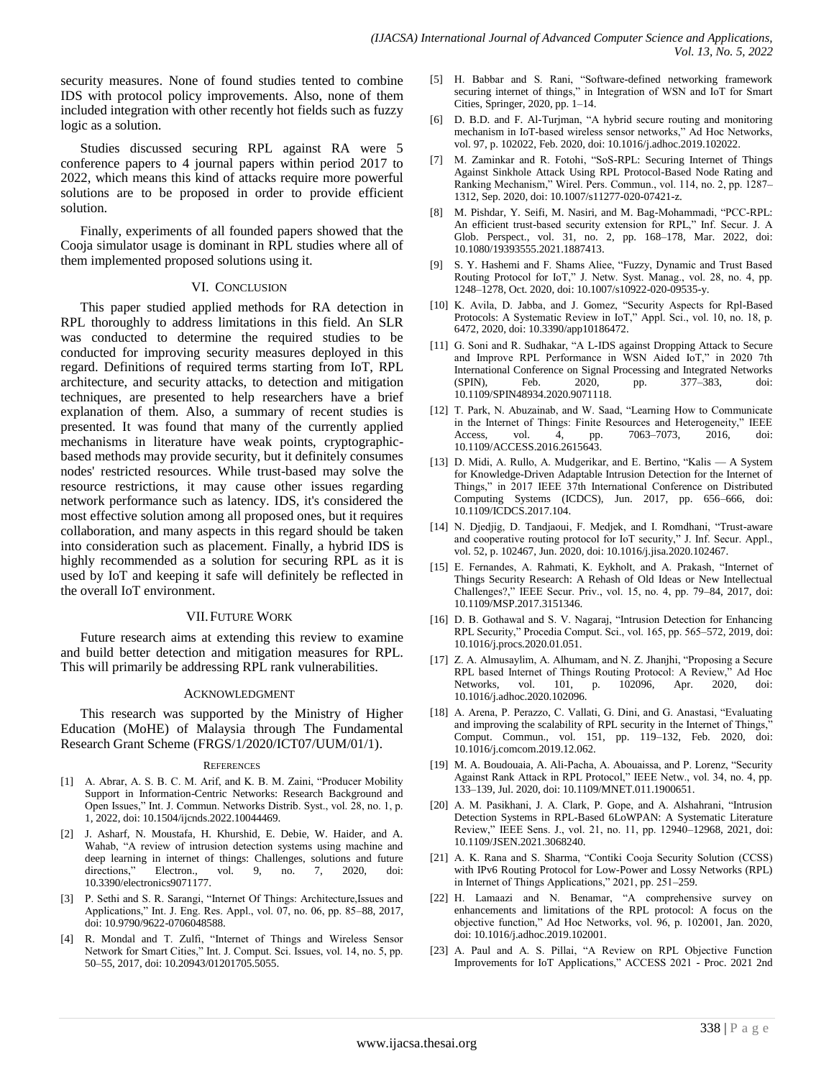security measures. None of found studies tented to combine IDS with protocol policy improvements. Also, none of them included integration with other recently hot fields such as fuzzy logic as a solution.

Studies discussed securing RPL against RA were 5 conference papers to 4 journal papers within period 2017 to 2022, which means this kind of attacks require more powerful solutions are to be proposed in order to provide efficient solution.

Finally, experiments of all founded papers showed that the Cooja simulator usage is dominant in RPL studies where all of them implemented proposed solutions using it.

### VI. CONCLUSION

This paper studied applied methods for RA detection in RPL thoroughly to address limitations in this field. An SLR was conducted to determine the required studies to be conducted for improving security measures deployed in this regard. Definitions of required terms starting from IoT, RPL architecture, and security attacks, to detection and mitigation techniques, are presented to help researchers have a brief explanation of them. Also, a summary of recent studies is presented. It was found that many of the currently applied mechanisms in literature have weak points, cryptographicbased methods may provide security, but it definitely consumes nodes' restricted resources. While trust-based may solve the resource restrictions, it may cause other issues regarding network performance such as latency. IDS, it's considered the most effective solution among all proposed ones, but it requires collaboration, and many aspects in this regard should be taken into consideration such as placement. Finally, a hybrid IDS is highly recommended as a solution for securing RPL as it is used by IoT and keeping it safe will definitely be reflected in the overall IoT environment.

### VII.FUTURE WORK

Future research aims at extending this review to examine and build better detection and mitigation measures for RPL. This will primarily be addressing RPL rank vulnerabilities.

#### ACKNOWLEDGMENT

This research was supported by the Ministry of Higher Education (MoHE) of Malaysia through The Fundamental Research Grant Scheme (FRGS/1/2020/ICT07/UUM/01/1).

#### REFERENCES

- [1] A. Abrar, A. S. B. C. M. Arif, and K. B. M. Zaini, "Producer Mobility Support in Information-Centric Networks: Research Background and Open Issues," Int. J. Commun. Networks Distrib. Syst., vol. 28, no. 1, p. 1, 2022, doi: 10.1504/ijcnds.2022.10044469.
- [2] J. Asharf, N. Moustafa, H. Khurshid, E. Debie, W. Haider, and A. Wahab, "A review of intrusion detection systems using machine and deep learning in internet of things: Challenges, solutions and future directions," Electron., vol. 9, no. 7, 2020, doi: 10.3390/electronics9071177.
- [3] P. Sethi and S. R. Sarangi, "Internet Of Things: Architecture, Issues and Applications," Int. J. Eng. Res. Appl., vol. 07, no. 06, pp. 85-88, 2017, doi: 10.9790/9622-0706048588.
- [4] R. Mondal and T. Zulfi, "Internet of Things and Wireless Sensor Network for Smart Cities," Int. J. Comput. Sci. Issues, vol. 14, no. 5, pp. 50–55, 2017, doi: 10.20943/01201705.5055.
- [5] H. Babbar and S. Rani, "Software-defined networking framework securing internet of things," in Integration of WSN and IoT for Smart Cities, Springer, 2020, pp. 1–14.
- [6] D. B.D. and F. Al-Turjman, "A hybrid secure routing and monitoring mechanism in IoT-based wireless sensor networks," Ad Hoc Networks, vol. 97, p. 102022, Feb. 2020, doi: 10.1016/j.adhoc.2019.102022.
- [7] M. Zaminkar and R. Fotohi, "SoS-RPL: Securing Internet of Things Against Sinkhole Attack Using RPL Protocol-Based Node Rating and Ranking Mechanism," Wirel. Pers. Commun., vol. 114, no. 2, pp. 1287-1312, Sep. 2020, doi: 10.1007/s11277-020-07421-z.
- [8] M. Pishdar, Y. Seifi, M. Nasiri, and M. Bag-Mohammadi, "PCC-RPL: An efficient trust-based security extension for RPL," Inf. Secur. J. A Glob. Perspect., vol. 31, no. 2, pp. 168–178, Mar. 2022, doi: 10.1080/19393555.2021.1887413.
- [9] S. Y. Hashemi and F. Shams Aliee, "Fuzzy, Dynamic and Trust Based Routing Protocol for IoT," J. Netw. Syst. Manag., vol. 28, no. 4, pp. 1248–1278, Oct. 2020, doi: 10.1007/s10922-020-09535-y.
- [10] K. Avila, D. Jabba, and J. Gomez, "Security Aspects for Rpl-Based Protocols: A Systematic Review in IoT," Appl. Sci., vol. 10, no. 18, p. 6472, 2020, doi: 10.3390/app10186472.
- [11] G. Soni and R. Sudhakar, "A L-IDS against Dropping Attack to Secure and Improve RPL Performance in WSN Aided IoT," in 2020 7th International Conference on Signal Processing and Integrated Networks (SPIN), Feb. 2020, pp. 377–383, doi: 10.1109/SPIN48934.2020.9071118.
- [12] T. Park, N. Abuzainab, and W. Saad, "Learning How to Communicate in the Internet of Things: Finite Resources and Heterogeneity," IEEE Access, vol. 4, pp. 7063–7073, 2016, doi: 10.1109/ACCESS.2016.2615643.
- [13] D. Midi, A. Rullo, A. Mudgerikar, and E. Bertino, "Kalis A System for Knowledge-Driven Adaptable Intrusion Detection for the Internet of Things," in 2017 IEEE 37th International Conference on Distributed Computing Systems (ICDCS), Jun. 2017, pp. 656–666, doi: 10.1109/ICDCS.2017.104.
- [14] N. Djedjig, D. Tandjaoui, F. Medjek, and I. Romdhani, "Trust-aware and cooperative routing protocol for IoT security," J. Inf. Secur. Appl., vol. 52, p. 102467, Jun. 2020, doi: 10.1016/j.jisa.2020.102467.
- [15] E. Fernandes, A. Rahmati, K. Eykholt, and A. Prakash, "Internet of Things Security Research: A Rehash of Old Ideas or New Intellectual Challenges?," IEEE Secur. Priv., vol. 15, no. 4, pp. 79–84, 2017, doi: 10.1109/MSP.2017.3151346.
- [16] D. B. Gothawal and S. V. Nagaraj, "Intrusion Detection for Enhancing RPL Security," Procedia Comput. Sci., vol. 165, pp. 565–572, 2019, doi: 10.1016/j.procs.2020.01.051.
- [17] Z. A. Almusaylim, A. Alhumam, and N. Z. Jhanjhi, "Proposing a Secure RPL based Internet of Things Routing Protocol: A Review," Ad Hoc Networks, vol. 101, p. 102096, Apr. 2020, doi: 10.1016/j.adhoc.2020.102096.
- [18] A. Arena, P. Perazzo, C. Vallati, G. Dini, and G. Anastasi, "Evaluating and improving the scalability of RPL security in the Internet of Things, Comput. Commun., vol. 151, pp. 119–132, Feb. 2020, doi: 10.1016/j.comcom.2019.12.062.
- [19] M. A. Boudouaia, A. Ali-Pacha, A. Abouaissa, and P. Lorenz, "Security Against Rank Attack in RPL Protocol," IEEE Netw., vol. 34, no. 4, pp. 133–139, Jul. 2020, doi: 10.1109/MNET.011.1900651.
- [20] A. M. Pasikhani, J. A. Clark, P. Gope, and A. Alshahrani, "Intrusion Detection Systems in RPL-Based 6LoWPAN: A Systematic Literature Review," IEEE Sens. J., vol. 21, no. 11, pp. 12940-12968, 2021, doi: 10.1109/JSEN.2021.3068240.
- [21] A. K. Rana and S. Sharma, "Contiki Cooja Security Solution (CCSS) with IPv6 Routing Protocol for Low-Power and Lossy Networks (RPL) in Internet of Things Applications," 2021, pp. 251-259.
- [22] H. Lamaazi and N. Benamar, "A comprehensive survey on enhancements and limitations of the RPL protocol: A focus on the objective function,‖ Ad Hoc Networks, vol. 96, p. 102001, Jan. 2020, doi: 10.1016/j.adhoc.2019.102001.
- [23] A. Paul and A. S. Pillai, "A Review on RPL Objective Function Improvements for IoT Applications," ACCESS 2021 - Proc. 2021 2nd